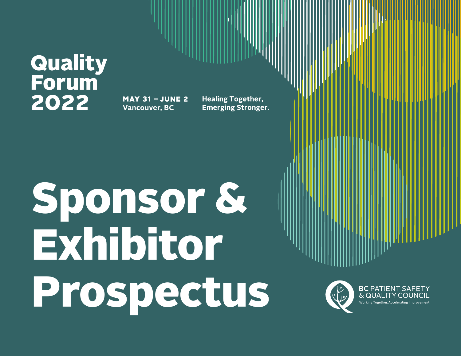### Quality **Forum** 2022

**MAY 31 - JUNE 2 Vancouver, BC** 

**Healing Together, Emerging Stronger.** 

# Sponsor & Exhibitor Prospectus



**BC PATIENT SAFETY**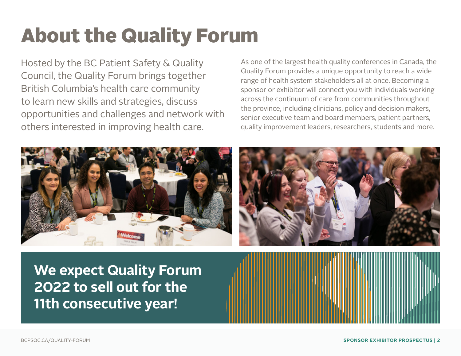# About the Quality Forum

Hosted by the BC Patient Safety & Quality Council, the Quality Forum brings together British Columbia's health care community to learn new skills and strategies, discuss opportunities and challenges and network with others interested in improving health care.

As one of the largest health quality conferences in Canada, the Quality Forum provides a unique opportunity to reach a wide range of health system stakeholders all at once. Becoming a sponsor or exhibitor will connect you with individuals working across the continuum of care from communities throughout the province, including clinicians, policy and decision makers, senior executive team and board members, patient partners, quality improvement leaders, researchers, students and more.





**We expect Quality Forum 2022 to sell out for the 11th consecutive year!**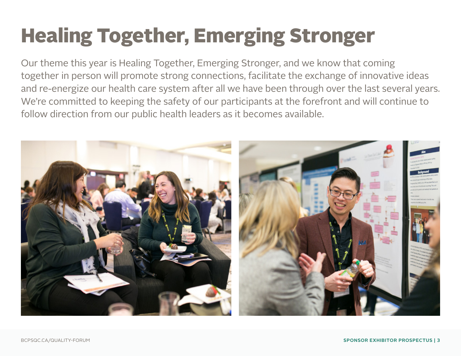## Healing Together, Emerging Stronger

Our theme this year is Healing Together, Emerging Stronger, and we know that coming together in person will promote strong connections, facilitate the exchange of innovative ideas and re-energize our health care system after all we have been through over the last several years. We're committed to keeping the safety of our participants at the forefront and will continue to follow direction from our public health leaders as it becomes available.

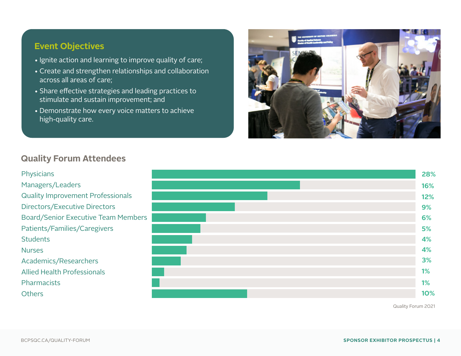#### **Event Objectives**

- Ignite action and learning to improve quality of care;
- Create and strengthen relationships and collaboration across all areas of care;
- Share effective strategies and leading practices to stimulate and sustain improvement; and
- Demonstrate how every voice matters to achieve high-quality care.



#### **Quality Forum Attendees**

#### Physicians Managers/Leaders Quality Improvement Professionals Directors/Executive Directors Board/Senior Executive Team Members Patients/Families/Caregivers **Students** Nurses Academics/Researchers Allied Health Professionals **Pharmacists Others**

| 28% |
|-----|
| 16% |
| 12% |
| 9%  |
| 6%  |
| 5%  |
| 4%  |
| 4%  |
| 3%  |
| 1%  |
| 1%  |
| 10% |

Quality Forum 2021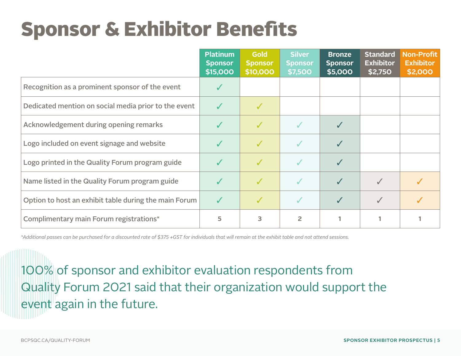### Sponsor & Exhibitor Benefits

|                                                       | <b>Platinum</b><br><b>Sponsor</b><br>\$15,000 | <b>Gold</b><br><b>Sponsor</b><br>\$10,000 | <b>Silver</b><br><b>Sponsor</b><br>\$7,500 | <b>Bronze</b><br><b>Sponsor</b><br>\$5,000 | <b>Standard</b><br><b>Exhibitor</b><br>\$2,750 | <b>Non-Profit</b><br><b>Exhibitor</b><br>\$2,000 |
|-------------------------------------------------------|-----------------------------------------------|-------------------------------------------|--------------------------------------------|--------------------------------------------|------------------------------------------------|--------------------------------------------------|
| Recognition as a prominent sponsor of the event       |                                               |                                           |                                            |                                            |                                                |                                                  |
| Dedicated mention on social media prior to the event  | $\checkmark$                                  |                                           |                                            |                                            |                                                |                                                  |
| Acknowledgement during opening remarks                |                                               | ✓                                         |                                            |                                            |                                                |                                                  |
| Logo included on event signage and website            |                                               | $\checkmark$                              |                                            |                                            |                                                |                                                  |
| Logo printed in the Quality Forum program guide       |                                               | $\checkmark$                              |                                            |                                            |                                                |                                                  |
| Name listed in the Quality Forum program guide        |                                               | $\checkmark$                              |                                            |                                            |                                                |                                                  |
| Option to host an exhibit table during the main Forum | $\sqrt{}$                                     | ✓                                         |                                            | ✓                                          |                                                |                                                  |
| Complimentary main Forum registrations*               | 5                                             | 3                                         | 2                                          |                                            |                                                |                                                  |

*\*Additional passes can be purchased for a discounted rate of \$375 +GST for individuals that will remain at the exhibit table and not attend sessions.*

100% of sponsor and exhibitor evaluation respondents from Quality Forum 2021 said that their organization would support the event again in the future.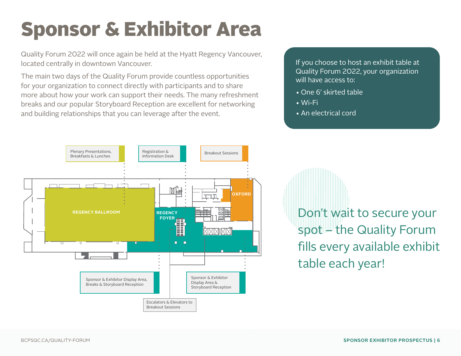### Sponsor & Exhibitor Area

Quality Forum 2022 will once again be held at the Hyatt Regency Vancouver, located centrally in downtown Vancouver.

The main two days of the Quality Forum provide countless opportunities for your organization to connect directly with participants and to share more about how your work can support their needs. The many refreshment breaks and our popular Storyboard Reception are excellent for networking and building relationships that you can leverage after the event.

If you choose to host an exhibit table at Quality Forum 2022, your organization will have access to:

- One 6' skirted table
- Wi-Fi
- An electrical cord



Don't wait to secure your spot – the Quality Forum fills every available exhibit table each year!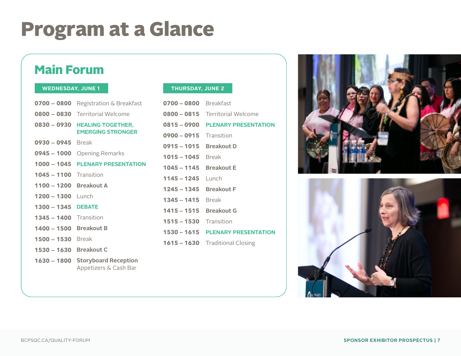### Program at a Glance

#### Main Forum

#### **WEDNESDAY, JUNE 1 THURSDAY, JUNE 2**

| 0700 - 0800   | Registration & Breakfast                             |
|---------------|------------------------------------------------------|
| $0800 - 0830$ | <b>Territorial Welcome</b>                           |
| 0830 - 0930   | <b>HEALING TOGETHER,</b><br><b>EMERGING STRONGER</b> |
| 0930 - 0945   | Break                                                |
| $0945 - 1000$ | <b>Opening Remarks</b>                               |
| $1000 - 1045$ | <b>PLENARY PRESENTATION</b>                          |
| $1045 - 1100$ | Transition                                           |
| $1100 - 1200$ | <b>Breakout A</b>                                    |
| $1200 - 1300$ | Lunch                                                |
| $1300 - 1345$ | <b>DEBATE</b>                                        |
| $1345 - 1400$ | Transition                                           |
| $1400 - 1500$ | <b>Breakout B</b>                                    |
| $1500 - 1530$ | Break                                                |
| $1530 - 1630$ | <b>Breakout C</b>                                    |
| $1630 - 1800$ | <b>Storyboard Reception</b><br>Appetizers & Cash Bar |

| <b>0700 - 0800</b> Breakfast  |                                  |
|-------------------------------|----------------------------------|
|                               | 0800 - 0815 Territorial Welcome  |
|                               | 0815 - 0900 PLENARY PRESENTATION |
| $0900 - 0915$ Transition      |                                  |
| 0915 - 1015 Breakout D        |                                  |
| $1015 - 1045$ Break           |                                  |
| 1045 – 1145 Breakout E        |                                  |
| $1145 - 1245$ Lunch           |                                  |
| 1245 – 1345 Breakout F        |                                  |
| $1345 - 1415$ Break           |                                  |
| $1415 - 1515$                 | <b>Breakout G</b>                |
| <b>1515 – 1530</b> Transition |                                  |
|                               | 1530 - 1615 PLENARY PRESENTATION |
|                               | 1615 - 1630 Traditional Closing  |